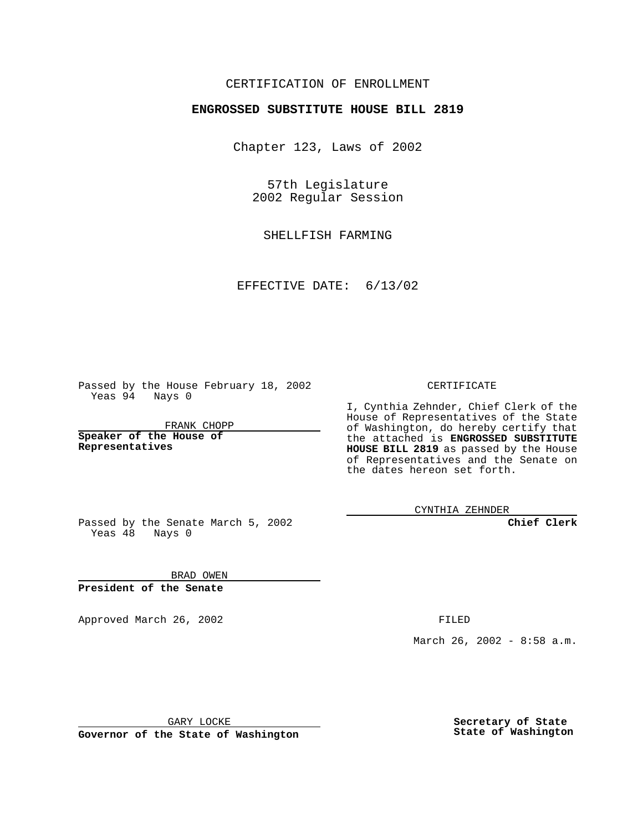## CERTIFICATION OF ENROLLMENT

## **ENGROSSED SUBSTITUTE HOUSE BILL 2819**

Chapter 123, Laws of 2002

57th Legislature 2002 Regular Session

SHELLFISH FARMING

EFFECTIVE DATE: 6/13/02

Passed by the House February 18, 2002 Yeas 94 Nays 0

FRANK CHOPP

**Speaker of the House of Representatives**

CERTIFICATE

I, Cynthia Zehnder, Chief Clerk of the House of Representatives of the State of Washington, do hereby certify that the attached is **ENGROSSED SUBSTITUTE HOUSE BILL 2819** as passed by the House of Representatives and the Senate on the dates hereon set forth.

CYNTHIA ZEHNDER

**Chief Clerk**

Passed by the Senate March 5, 2002 Yeas  $48$  Nays 0

BRAD OWEN **President of the Senate**

Approved March 26, 2002 **FILED** 

March 26, 2002 - 8:58 a.m.

GARY LOCKE

**Governor of the State of Washington**

**Secretary of State State of Washington**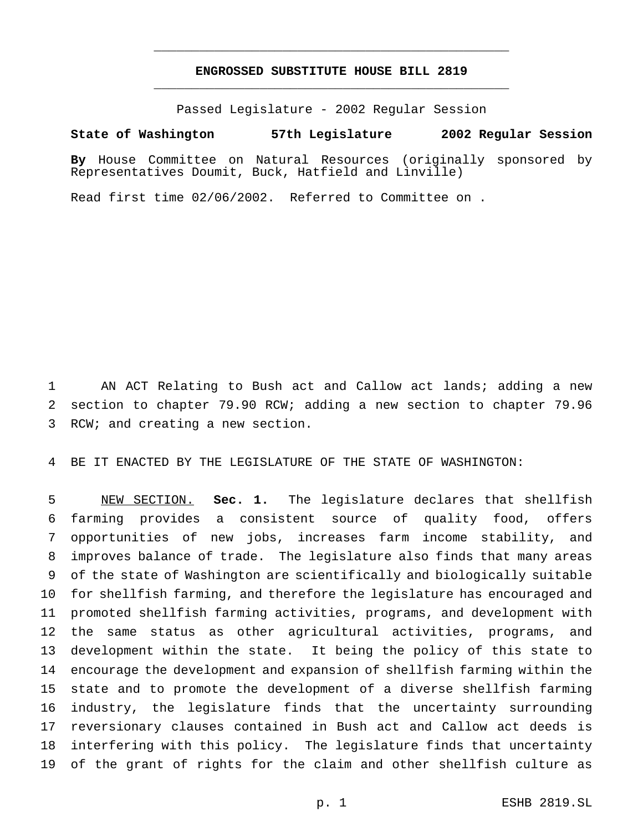## **ENGROSSED SUBSTITUTE HOUSE BILL 2819** \_\_\_\_\_\_\_\_\_\_\_\_\_\_\_\_\_\_\_\_\_\_\_\_\_\_\_\_\_\_\_\_\_\_\_\_\_\_\_\_\_\_\_\_\_\_\_

\_\_\_\_\_\_\_\_\_\_\_\_\_\_\_\_\_\_\_\_\_\_\_\_\_\_\_\_\_\_\_\_\_\_\_\_\_\_\_\_\_\_\_\_\_\_\_

Passed Legislature - 2002 Regular Session

## **State of Washington 57th Legislature 2002 Regular Session**

**By** House Committee on Natural Resources (originally sponsored by Representatives Doumit, Buck, Hatfield and Linville)

Read first time 02/06/2002. Referred to Committee on .

 AN ACT Relating to Bush act and Callow act lands; adding a new section to chapter 79.90 RCW; adding a new section to chapter 79.96 RCW; and creating a new section.

BE IT ENACTED BY THE LEGISLATURE OF THE STATE OF WASHINGTON:

 NEW SECTION. **Sec. 1.** The legislature declares that shellfish farming provides a consistent source of quality food, offers opportunities of new jobs, increases farm income stability, and improves balance of trade. The legislature also finds that many areas of the state of Washington are scientifically and biologically suitable for shellfish farming, and therefore the legislature has encouraged and promoted shellfish farming activities, programs, and development with the same status as other agricultural activities, programs, and development within the state. It being the policy of this state to encourage the development and expansion of shellfish farming within the state and to promote the development of a diverse shellfish farming industry, the legislature finds that the uncertainty surrounding reversionary clauses contained in Bush act and Callow act deeds is interfering with this policy. The legislature finds that uncertainty of the grant of rights for the claim and other shellfish culture as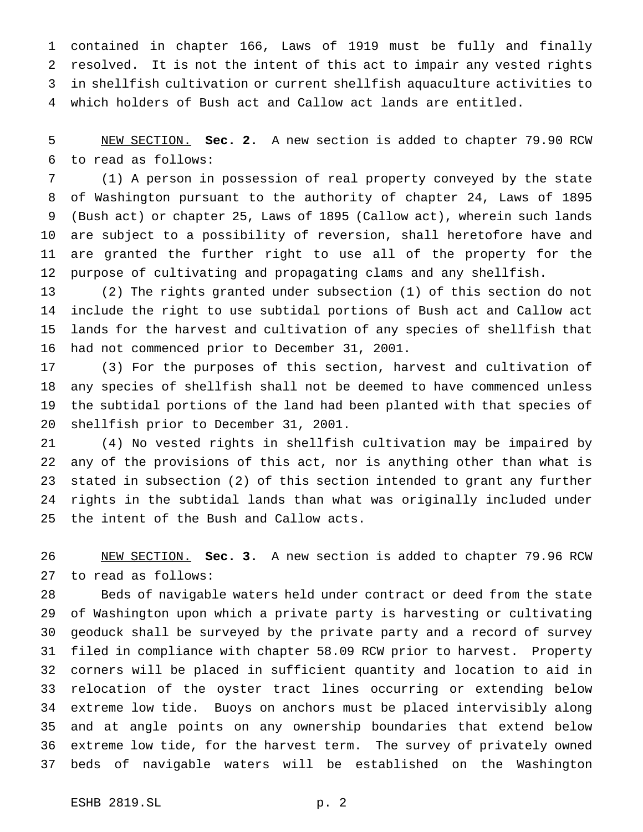contained in chapter 166, Laws of 1919 must be fully and finally resolved. It is not the intent of this act to impair any vested rights in shellfish cultivation or current shellfish aquaculture activities to which holders of Bush act and Callow act lands are entitled.

 NEW SECTION. **Sec. 2.** A new section is added to chapter 79.90 RCW to read as follows:

 (1) A person in possession of real property conveyed by the state of Washington pursuant to the authority of chapter 24, Laws of 1895 (Bush act) or chapter 25, Laws of 1895 (Callow act), wherein such lands are subject to a possibility of reversion, shall heretofore have and are granted the further right to use all of the property for the purpose of cultivating and propagating clams and any shellfish.

 (2) The rights granted under subsection (1) of this section do not include the right to use subtidal portions of Bush act and Callow act lands for the harvest and cultivation of any species of shellfish that had not commenced prior to December 31, 2001.

 (3) For the purposes of this section, harvest and cultivation of any species of shellfish shall not be deemed to have commenced unless the subtidal portions of the land had been planted with that species of shellfish prior to December 31, 2001.

 (4) No vested rights in shellfish cultivation may be impaired by any of the provisions of this act, nor is anything other than what is stated in subsection (2) of this section intended to grant any further rights in the subtidal lands than what was originally included under the intent of the Bush and Callow acts.

 NEW SECTION. **Sec. 3.** A new section is added to chapter 79.96 RCW to read as follows:

 Beds of navigable waters held under contract or deed from the state of Washington upon which a private party is harvesting or cultivating geoduck shall be surveyed by the private party and a record of survey filed in compliance with chapter 58.09 RCW prior to harvest. Property corners will be placed in sufficient quantity and location to aid in relocation of the oyster tract lines occurring or extending below extreme low tide. Buoys on anchors must be placed intervisibly along and at angle points on any ownership boundaries that extend below extreme low tide, for the harvest term. The survey of privately owned beds of navigable waters will be established on the Washington